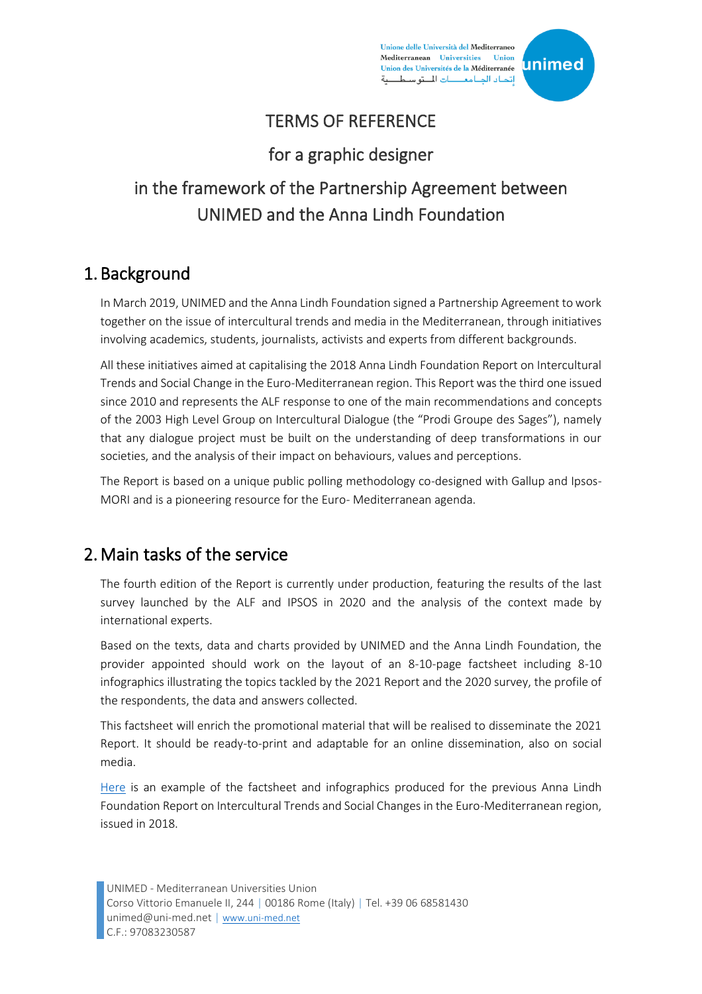Unione delle Università del Mediterraneo Mediterranean Universities Union Union des Universités de la Méditerranée إتحاد الجامعـــات المتوسط



### TERMS OF REFERENCE

#### for a graphic designer

# in the framework of the Partnership Agreement between UNIMED and the Anna Lindh Foundation

#### 1. Background

In March 2019, UNIMED and the Anna Lindh Foundation signed a Partnership Agreement to work together on the issue of intercultural trends and media in the Mediterranean, through initiatives involving academics, students, journalists, activists and experts from different backgrounds.

All these initiatives aimed at capitalising the 2018 Anna Lindh Foundation Report on Intercultural Trends and Social Change in the Euro-Mediterranean region. This Report was the third one issued since 2010 and represents the ALF response to one of the main recommendations and concepts of the 2003 High Level Group on Intercultural Dialogue (the "Prodi Groupe des Sages"), namely that any dialogue project must be built on the understanding of deep transformations in our societies, and the analysis of their impact on behaviours, values and perceptions.

The Report is based on a unique public polling methodology co-designed with Gallup and Ipsos-MORI and is a pioneering resource for the Euro- Mediterranean agenda.

#### 2.Main tasks of the service

The fourth edition of the Report is currently under production, featuring the results of the last survey launched by the ALF and IPSOS in 2020 and the analysis of the context made by international experts.

Based on the texts, data and charts provided by UNIMED and the Anna Lindh Foundation, the provider appointed should work on the layout of an 8-10-page factsheet including 8-10 infographics illustrating the topics tackled by the 2021 Report and the 2020 survey, the profile of the respondents, the data and answers collected.

This factsheet will enrich the promotional material that will be realised to disseminate the 2021 Report. It should be ready-to-print and adaptable for an online dissemination, also on social media.

[Here](http://www.iai.it/sites/default/files/anna-lindh_170623-brief.pdf) is an example of the factsheet and infographics produced for the previous Anna Lindh Foundation Report on Intercultural Trends and Social Changes in the Euro-Mediterranean region, issued in 2018.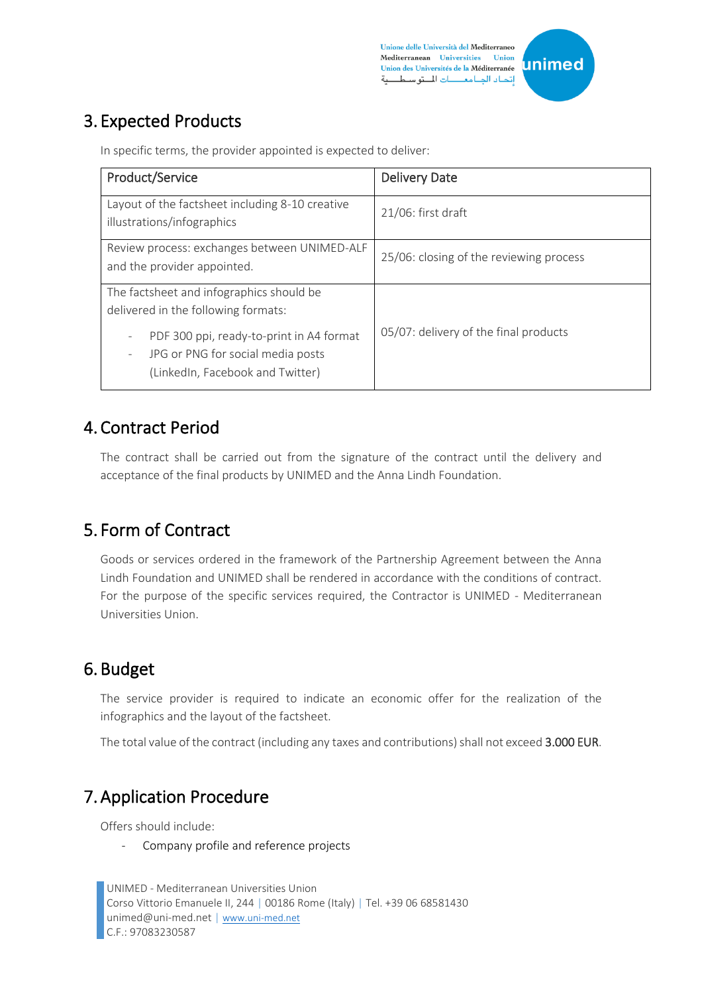Unione delle Università del Mediterraneo Mediterranean Universities Union Union des Universités de la Méditerranée إتحاد الجامعـــات المتوسط



# 3. Expected Products

In specific terms, the provider appointed is expected to deliver:

| Product/Service                                                                                                                                                                                                                       | <b>Delivery Date</b>                    |
|---------------------------------------------------------------------------------------------------------------------------------------------------------------------------------------------------------------------------------------|-----------------------------------------|
| Layout of the factsheet including 8-10 creative<br>illustrations/infographics                                                                                                                                                         | $21/06$ : first draft                   |
| Review process: exchanges between UNIMED-ALF<br>and the provider appointed.                                                                                                                                                           | 25/06: closing of the reviewing process |
| The factsheet and infographics should be<br>delivered in the following formats:<br>PDF 300 ppi, ready-to-print in A4 format<br>٠<br>JPG or PNG for social media posts<br>$\overline{\phantom{a}}$<br>(LinkedIn, Facebook and Twitter) | 05/07: delivery of the final products   |

#### 4. Contract Period

The contract shall be carried out from the signature of the contract until the delivery and acceptance of the final products by UNIMED and the Anna Lindh Foundation.

## 5. Form of Contract

Goods or services ordered in the framework of the Partnership Agreement between the Anna Lindh Foundation and UNIMED shall be rendered in accordance with the conditions of contract. For the purpose of the specific services required, the Contractor is UNIMED - Mediterranean Universities Union.

## 6. Budget

The service provider is required to indicate an economic offer for the realization of the infographics and the layout of the factsheet.

The total value of the contract (including any taxes and contributions) shall not exceed 3.000 EUR.

## 7.Application Procedure

Offers should include:

- Company profile and reference projects